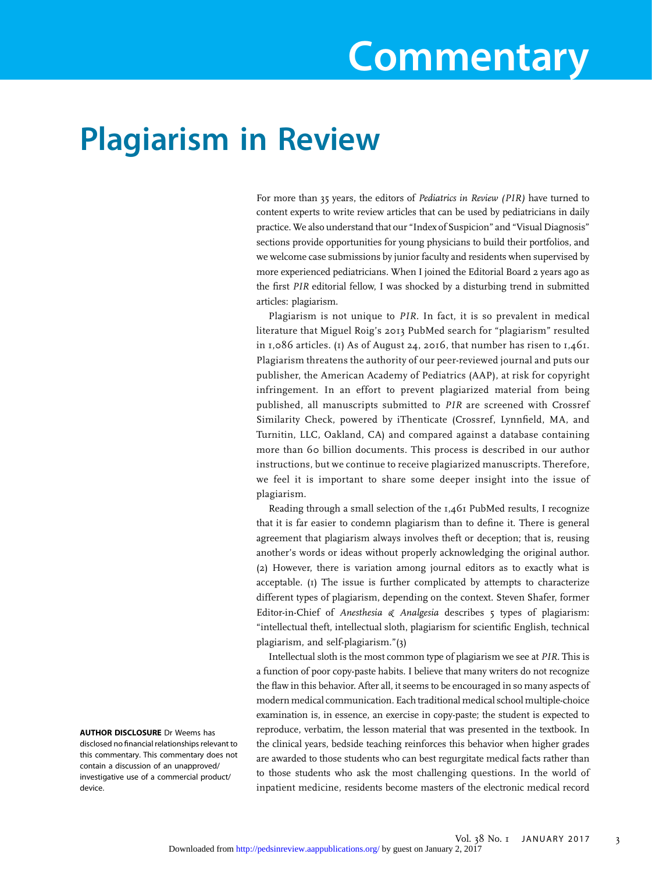# Commentary

## Plagiarism in Review

For more than 35 years, the editors of Pediatrics in Review (PIR) have turned to content experts to write review articles that can be used by pediatricians in daily practice. We also understand that our "Index of Suspicion" and "Visual Diagnosis" sections provide opportunities for young physicians to build their portfolios, and we welcome case submissions by junior faculty and residents when supervised by more experienced pediatricians. When I joined the Editorial Board 2 years ago as the first PIR editorial fellow, I was shocked by a disturbing trend in submitted articles: plagiarism.

Plagiarism is not unique to PIR. In fact, it is so prevalent in medical literature that Miguel Roig's 2013 PubMed search for "plagiarism" resulted in 1,086 articles. (1) As of August 24, 2016, that number has risen to 1,461. Plagiarism threatens the authority of our peer-reviewed journal and puts our publisher, the American Academy of Pediatrics (AAP), at risk for copyright infringement. In an effort to prevent plagiarized material from being published, all manuscripts submitted to PIR are screened with Crossref Similarity Check, powered by iThenticate (Crossref, Lynnfield, MA, and Turnitin, LLC, Oakland, CA) and compared against a database containing more than 60 billion documents. This process is described in our author instructions, but we continue to receive plagiarized manuscripts. Therefore, we feel it is important to share some deeper insight into the issue of plagiarism.

Reading through a small selection of the 1,461 PubMed results, I recognize that it is far easier to condemn plagiarism than to define it. There is general agreement that plagiarism always involves theft or deception; that is, reusing another's words or ideas without properly acknowledging the original author. (2) However, there is variation among journal editors as to exactly what is acceptable. (1) The issue is further complicated by attempts to characterize different types of plagiarism, depending on the context. Steven Shafer, former Editor-in-Chief of Anesthesia & Analgesia describes 5 types of plagiarism: "intellectual theft, intellectual sloth, plagiarism for scientific English, technical plagiarism, and self-plagiarism."(3)

Intellectual sloth is the most common type of plagiarism we see at PIR. This is a function of poor copy-paste habits. I believe that many writers do not recognize the flaw in this behavior. After all, it seems to be encouraged in so many aspects of modern medical communication. Each traditional medical school multiple-choice examination is, in essence, an exercise in copy-paste; the student is expected to reproduce, verbatim, the lesson material that was presented in the textbook. In the clinical years, bedside teaching reinforces this behavior when higher grades are awarded to those students who can best regurgitate medical facts rather than to those students who ask the most challenging questions. In the world of inpatient medicine, residents become masters of the electronic medical record

AUTHOR DISCLOSURE Dr Weems has disclosed no financial relationships relevant to this commentary. This commentary does not contain a discussion of an unapproved/ investigative use of a commercial product/ device.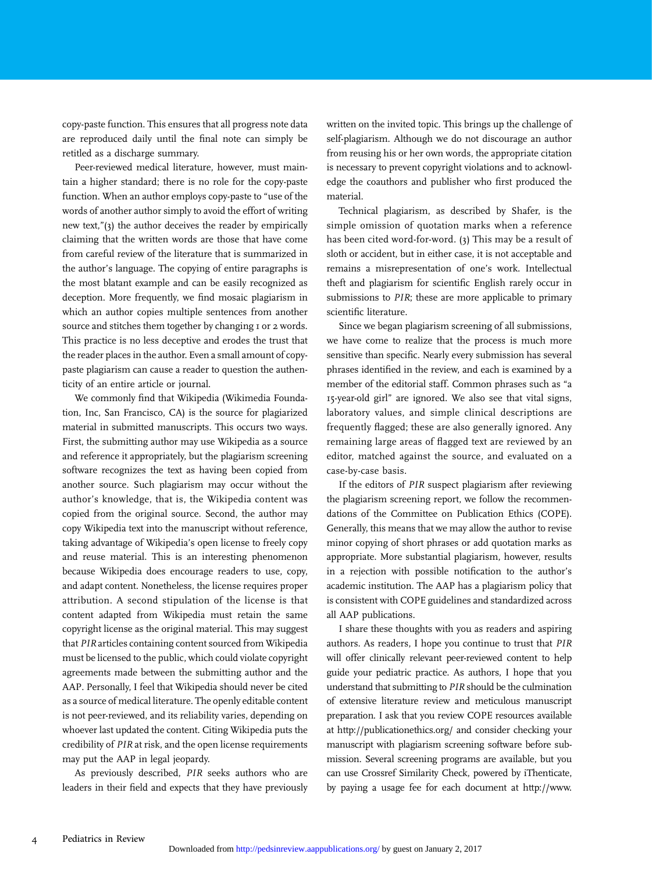copy-paste function. This ensures that all progress note data are reproduced daily until the final note can simply be retitled as a discharge summary.

Peer-reviewed medical literature, however, must maintain a higher standard; there is no role for the copy-paste function. When an author employs copy-paste to "use of the words of another author simply to avoid the effort of writing new text,"(3) the author deceives the reader by empirically claiming that the written words are those that have come from careful review of the literature that is summarized in the author's language. The copying of entire paragraphs is the most blatant example and can be easily recognized as deception. More frequently, we find mosaic plagiarism in which an author copies multiple sentences from another source and stitches them together by changing 1 or 2 words. This practice is no less deceptive and erodes the trust that the reader places in the author. Even a small amount of copypaste plagiarism can cause a reader to question the authenticity of an entire article or journal.

We commonly find that Wikipedia (Wikimedia Foundation, Inc, San Francisco, CA) is the source for plagiarized material in submitted manuscripts. This occurs two ways. First, the submitting author may use Wikipedia as a source and reference it appropriately, but the plagiarism screening software recognizes the text as having been copied from another source. Such plagiarism may occur without the author's knowledge, that is, the Wikipedia content was copied from the original source. Second, the author may copy Wikipedia text into the manuscript without reference, taking advantage of Wikipedia's open license to freely copy and reuse material. This is an interesting phenomenon because Wikipedia does encourage readers to use, copy, and adapt content. Nonetheless, the license requires proper attribution. A second stipulation of the license is that content adapted from Wikipedia must retain the same copyright license as the original material. This may suggest that PIRarticles containing content sourced from Wikipedia must be licensed to the public, which could violate copyright agreements made between the submitting author and the AAP. Personally, I feel that Wikipedia should never be cited as a source of medical literature. The openly editable content is not peer-reviewed, and its reliability varies, depending on whoever last updated the content. Citing Wikipedia puts the credibility of PIR at risk, and the open license requirements may put the AAP in legal jeopardy.

As previously described, PIR seeks authors who are leaders in their field and expects that they have previously written on the invited topic. This brings up the challenge of self-plagiarism. Although we do not discourage an author from reusing his or her own words, the appropriate citation is necessary to prevent copyright violations and to acknowledge the coauthors and publisher who first produced the material.

Technical plagiarism, as described by Shafer, is the simple omission of quotation marks when a reference has been cited word-for-word. (3) This may be a result of sloth or accident, but in either case, it is not acceptable and remains a misrepresentation of one's work. Intellectual theft and plagiarism for scientific English rarely occur in submissions to PIR; these are more applicable to primary scientific literature.

Since we began plagiarism screening of all submissions, we have come to realize that the process is much more sensitive than specific. Nearly every submission has several phrases identified in the review, and each is examined by a member of the editorial staff. Common phrases such as "a 15-year-old girl" are ignored. We also see that vital signs, laboratory values, and simple clinical descriptions are frequently flagged; these are also generally ignored. Any remaining large areas of flagged text are reviewed by an editor, matched against the source, and evaluated on a case-by-case basis.

If the editors of PIR suspect plagiarism after reviewing the plagiarism screening report, we follow the recommendations of the Committee on Publication Ethics (COPE). Generally, this means that we may allow the author to revise minor copying of short phrases or add quotation marks as appropriate. More substantial plagiarism, however, results in a rejection with possible notification to the author's academic institution. The AAP has a plagiarism policy that is consistent with COPE guidelines and standardized across all AAP publications.

I share these thoughts with you as readers and aspiring authors. As readers, I hope you continue to trust that PIR will offer clinically relevant peer-reviewed content to help guide your pediatric practice. As authors, I hope that you understand that submitting to PIR should be the culmination of extensive literature review and meticulous manuscript preparation. I ask that you review COPE resources available at<http://publicationethics.org/> and consider checking your manuscript with plagiarism screening software before submission. Several screening programs are available, but you can use Crossref Similarity Check, powered by iThenticate, by paying a usage fee for each document at [http://www.](http://www.ithenticate.com/products/crosscheck)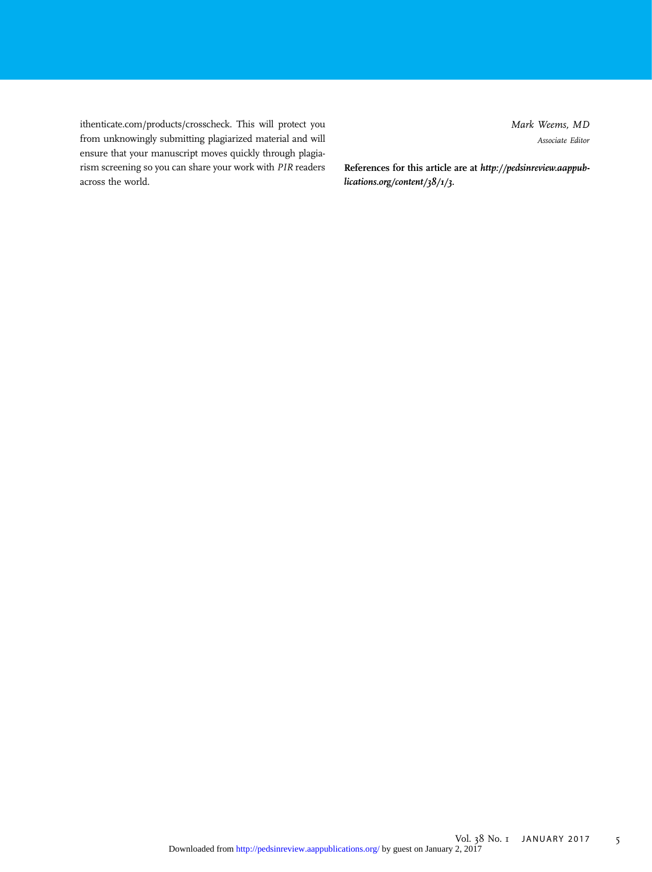[ithenticate.com/products/crosscheck](http://www.ithenticate.com/products/crosscheck). This will protect you from unknowingly submitting plagiarized material and will ensure that your manuscript moves quickly through plagiarism screening so you can share your work with PIR readers across the world.

Mark Weems, MD Associate Editor

References for this article are at [http://pedsinreview.aappub](http://pedsinreview.aappublications.org/content/38/1/3)[lications.org/content/38/1/3.](http://pedsinreview.aappublications.org/content/38/1/3)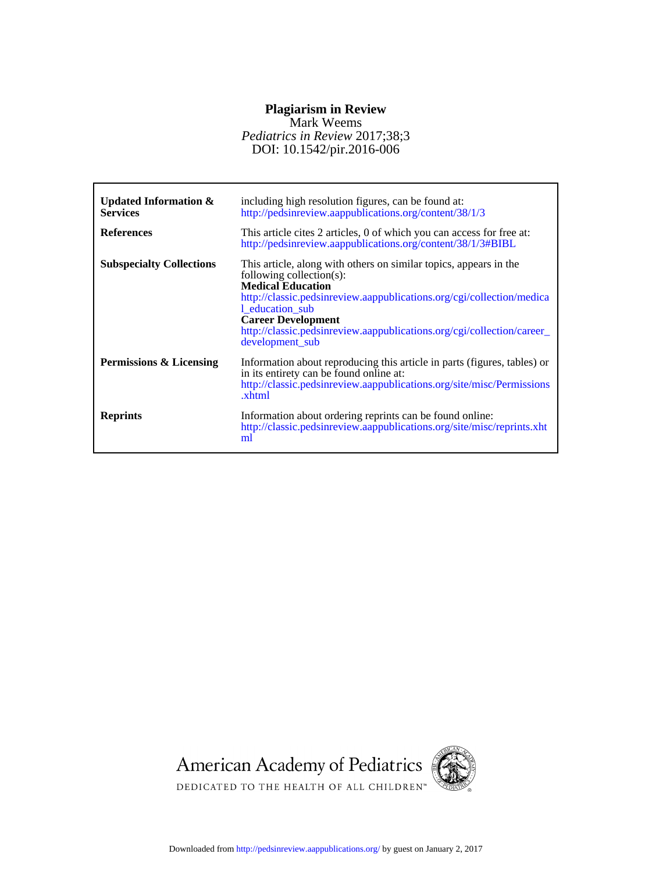### **Plagiarism in Review**

#### DOI: 10.1542/pir.2016-006 *Pediatrics in Review* 2017;38;3 Mark Weems

| Updated Information $\&$<br><b>Services</b><br><b>References</b> | including high resolution figures, can be found at:<br>http://pedsinreview.aappublications.org/content/38/1/3<br>This article cites 2 articles, 0 of which you can access for free at:<br>http://pedsinreview.aappublications.org/content/38/1/3#BIBL                                                                                           |
|------------------------------------------------------------------|-------------------------------------------------------------------------------------------------------------------------------------------------------------------------------------------------------------------------------------------------------------------------------------------------------------------------------------------------|
| <b>Subspecialty Collections</b>                                  | This article, along with others on similar topics, appears in the<br>following collection(s):<br><b>Medical Education</b><br>http://classic.pedsinreview.aappublications.org/cgi/collection/medica<br>1_education_sub<br><b>Career Development</b><br>http://classic.pedsinreview.aappublications.org/cgi/collection/career_<br>development_sub |
| Permissions & Licensing                                          | Information about reproducing this article in parts (figures, tables) or<br>in its entirety can be found online at:<br>http://classic.pedsinreview.aappublications.org/site/misc/Permissions<br>.xhtml                                                                                                                                          |
| <b>Reprints</b>                                                  | Information about ordering reprints can be found online:<br>http://classic.pedsinreview.aappublications.org/site/misc/reprints.xht<br>ml                                                                                                                                                                                                        |